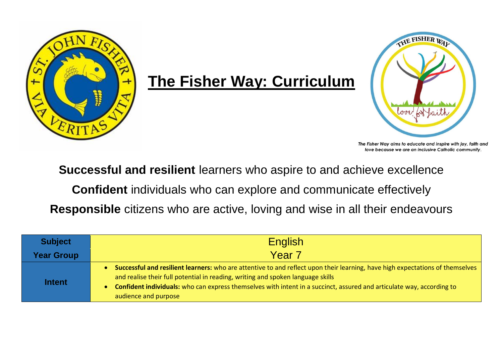

## **The Fisher Way: Curriculum**



The Fisher Way aims to educate and inspire with joy, faith and love because we are an inclusive Catholic community.

**Successful and resilient** learners who aspire to and achieve excellence

**Confident** individuals who can explore and communicate effectively

**Responsible** citizens who are active, loving and wise in all their endeavours

| <b>Subject</b>    | <b>English</b>                                                                                                                                                                                                                                                                                                                                                                        |  |
|-------------------|---------------------------------------------------------------------------------------------------------------------------------------------------------------------------------------------------------------------------------------------------------------------------------------------------------------------------------------------------------------------------------------|--|
| <b>Year Group</b> | Year 7                                                                                                                                                                                                                                                                                                                                                                                |  |
| <b>Intent</b>     | Successful and resilient learners: who are attentive to and reflect upon their learning, have high expectations of themselves<br>and realise their full potential in reading, writing and spoken language skills<br><b>Confident individuals:</b> who can express themselves with intent in a succinct, assured and articulate way, according to<br>$\bullet$<br>audience and purpose |  |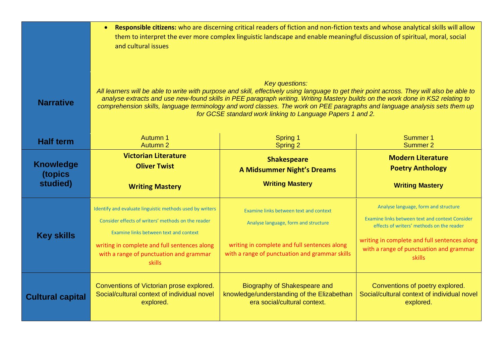|                         | Responsible citizens: who are discerning critical readers of fiction and non-fiction texts and whose analytical skills will allow<br>$\bullet$<br>them to interpret the ever more complex linguistic landscape and enable meaningful discussion of spiritual, moral, social<br>and cultural issues                                                                                                                                                                                                |                                                                                                                                                                                  |                                                                                                                                                                                                                                                  |  |
|-------------------------|---------------------------------------------------------------------------------------------------------------------------------------------------------------------------------------------------------------------------------------------------------------------------------------------------------------------------------------------------------------------------------------------------------------------------------------------------------------------------------------------------|----------------------------------------------------------------------------------------------------------------------------------------------------------------------------------|--------------------------------------------------------------------------------------------------------------------------------------------------------------------------------------------------------------------------------------------------|--|
| <b>Narrative</b>        | <b>Key questions:</b><br>All learners will be able to write with purpose and skill, effectively using language to get their point across. They will also be able to<br>analyse extracts and use new-found skills in PEE paragraph writing. Writing Mastery builds on the work done in KS2 relating to<br>comprehension skills, language terminology and word classes. The work on PEE paragraphs and language analysis sets them up<br>for GCSE standard work linking to Language Papers 1 and 2. |                                                                                                                                                                                  |                                                                                                                                                                                                                                                  |  |
| <b>Half term</b>        | Autumn 1                                                                                                                                                                                                                                                                                                                                                                                                                                                                                          | Spring 1                                                                                                                                                                         | Summer 1                                                                                                                                                                                                                                         |  |
|                         | Autumn 2                                                                                                                                                                                                                                                                                                                                                                                                                                                                                          | <b>Spring 2</b>                                                                                                                                                                  | Summer 2                                                                                                                                                                                                                                         |  |
| <b>Knowledge</b>        | <b>Victorian Literature</b>                                                                                                                                                                                                                                                                                                                                                                                                                                                                       | <b>Shakespeare</b>                                                                                                                                                               | <b>Modern Literature</b>                                                                                                                                                                                                                         |  |
| (topics                 | <b>Oliver Twist</b>                                                                                                                                                                                                                                                                                                                                                                                                                                                                               | <b>A Midsummer Night's Dreams</b>                                                                                                                                                | <b>Poetry Anthology</b>                                                                                                                                                                                                                          |  |
| studied)                | <b>Writing Mastery</b>                                                                                                                                                                                                                                                                                                                                                                                                                                                                            | <b>Writing Mastery</b>                                                                                                                                                           | <b>Writing Mastery</b>                                                                                                                                                                                                                           |  |
| <b>Key skills</b>       | Identify and evaluate linguistic methods used by writers<br>Consider effects of writers' methods on the reader<br>Examine links between text and context<br>writing in complete and full sentences along<br>with a range of punctuation and grammar<br><b>skills</b>                                                                                                                                                                                                                              | Examine links between text and context<br>Analyse language, form and structure<br>writing in complete and full sentences along<br>with a range of punctuation and grammar skills | Analyse language, form and structure<br>Examine links between text and context Consider<br>effects of writers' methods on the reader<br>writing in complete and full sentences along<br>with a range of punctuation and grammar<br><b>skills</b> |  |
| <b>Cultural capital</b> | Conventions of Victorian prose explored.                                                                                                                                                                                                                                                                                                                                                                                                                                                          | Biography of Shakespeare and                                                                                                                                                     | Conventions of poetry explored.                                                                                                                                                                                                                  |  |
|                         | Social/cultural context of individual novel                                                                                                                                                                                                                                                                                                                                                                                                                                                       | knowledge/understanding of the Elizabethan                                                                                                                                       | Social/cultural context of individual novel                                                                                                                                                                                                      |  |
|                         | explored.                                                                                                                                                                                                                                                                                                                                                                                                                                                                                         | era social/cultural context.                                                                                                                                                     | explored.                                                                                                                                                                                                                                        |  |